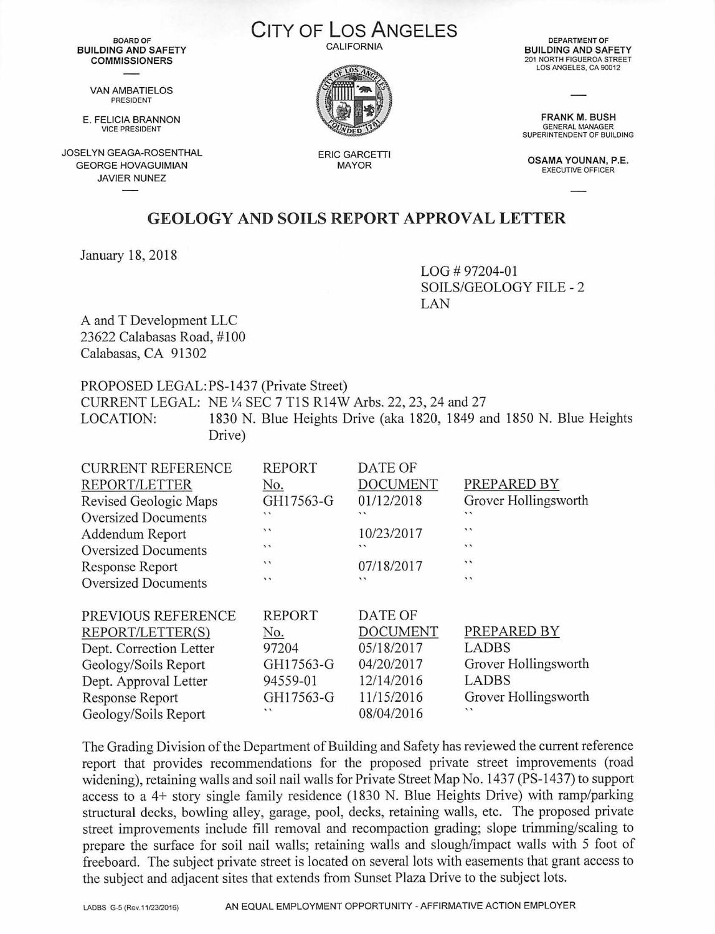BOARD OF **BUILDING AND SAFETY COMMISSIONERS** 

VAN AMBATIELOS PRESIDENT

E. FELICIA **BRANNON** VICE PRESIDENT

JOSELYN GEAGA-ROSENTHAL GEORGE HOVAGUIMIAN JAVIER NUNEZ

**CITY OF Los ANGELES CALIFORNIA** 



ERIC GARCETTI MAYOR

DEPARTMENT OF **BUILDING AND SAFETY** 201 NORTH FIGUEROA STREET LOS ANGELES, CA 90012

**FRANK M. BUSH**<br>GENERAL MANAGER GENERAL MANAGER SUPERINTENDENT OF BUILDING

**OSAMA YOUNAN,** P.E. EXECUTIVE OFFICER

## **GEOLOGY AND SOILS REPORT APPROVAL LETTER**

January 18, 2018

LOG # 97204-01 SOILS/GEOLOGY FILE - 2 LAN

A and T Development LLC 23622 Calabasas Road, #100 Calabasas, CA 91302

PROPOSED LEGAL:PS-1437 (Private Street) CURRENT LEGAL: NE¼ SEC 7 TIS Rl4W Arbs. 22, 23, 24 and 27 LOCATION: 1830 N. Blue Heights Drive (aka 1820, 1849 and 1850 N. Blue Heights Drive)

| <b>CURRENT REFERENCE</b><br>REPORT/LETTER<br>Revised Geologic Maps<br><b>Oversized Documents</b><br>Addendum Report<br><b>Oversized Documents</b><br><b>Response Report</b><br><b>Oversized Documents</b> | <b>REPORT</b><br>No.<br>GH17563-G<br>11<br>$\cdot$<br>$\cdot$<br>$\cdot$<br>$\cdot$ | <b>DATE OF</b><br><b>DOCUMENT</b><br>01/12/2018<br>$\cdot$<br>10/23/2017<br>$\cdot$<br>07/18/2017<br>$\cdot$ | PREPARED BY<br>Grover Hollingsworth<br>$\cdot$<br>$\cdot$<br>$\overline{\phantom{a}}$<br>$\cdot$<br>$\cdot$ |
|-----------------------------------------------------------------------------------------------------------------------------------------------------------------------------------------------------------|-------------------------------------------------------------------------------------|--------------------------------------------------------------------------------------------------------------|-------------------------------------------------------------------------------------------------------------|
| PREVIOUS REFERENCE<br>REPORT/LETTER(S)<br>Dept. Correction Letter<br>Geology/Soils Report<br>Dept. Approval Letter<br><b>Response Report</b><br>Geology/Soils Report                                      | <b>REPORT</b><br>No.<br>97204<br>GH17563-G<br>94559-01<br>GH17563-G<br>$\cdot$      | DATE OF<br><b>DOCUMENT</b><br>05/18/2017<br>04/20/2017<br>12/14/2016<br>11/15/2016<br>08/04/2016             | PREPARED BY<br><b>LADBS</b><br>Grover Hollingsworth<br><b>LADBS</b><br>Grover Hollingsworth<br>$\cdot$      |

The Grading Division of the Department of Building and Safety has reviewed the current reference report that provides recommendations for the proposed private street improvements (road widening), retaining walls and soil nail walls for Private Street Map No. 1437 (PS-1437) to support access to a 4+ story single family residence (1830 N. Blue Heights Drive) with ramp/parking structural decks, bowling alley, garage, pool, decks, retaining walls, etc. The proposed private street improvements include fill removal and recompaction grading; slope trimming/scaling to prepare the surface for soil nail walls; retaining walls and slough/impact walls with 5 foot of freeboard. The subject private street is located on several lots with easements that grant access to the subject and adjacent sites that extends from Sunset Plaza Drive to the subject lots.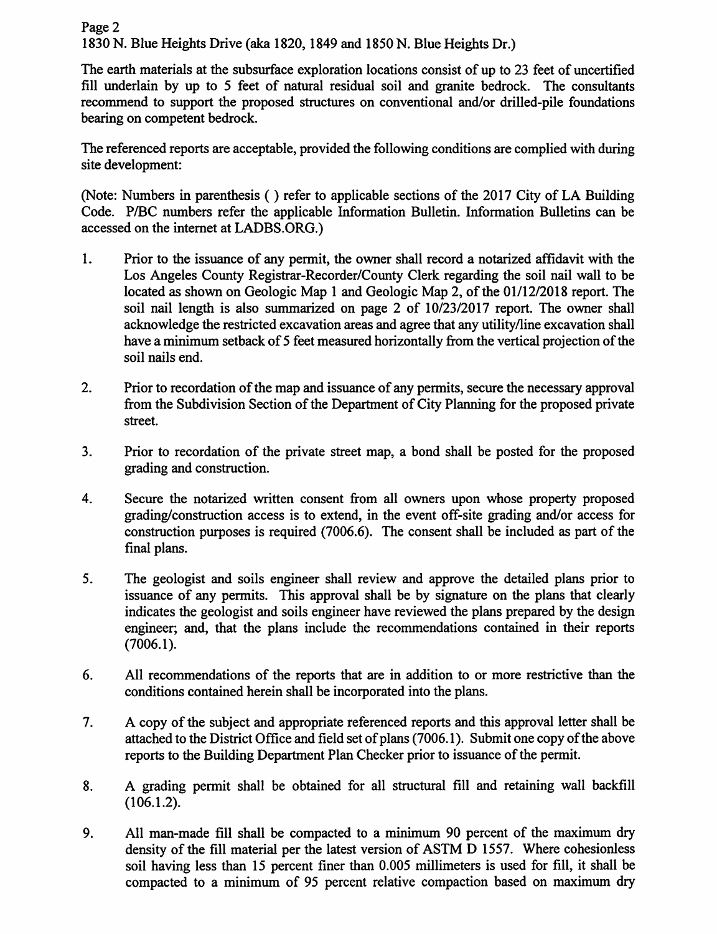Page 2 1830 N. Blue Heights Drive (aka 1820, 1849 and 1850 N. Blue Heights Dr.)

The earth materials at the subsurface exploration locations consist of up to 23 feet of uncertified fill underlain by up to *5* feet of natural residual soil and granite bedrock. The consultants recommend to support the proposed structures on conventional and/or drilled-pile foundations bearing on competent bedrock.

The referenced reports are acceptable, provided the following conditions are complied with during site development:

(Note: Numbers in parenthesis () refer to applicable sections of the 2017 City of LA Building Code. P/BC numbers refer the applicable Information Bulletin. Information Bulletins can be accessed on the internet at LADBS.ORG.)

- 1. Prior to the issuance of any permit, the owner shall record a notarized affidavit with the Los Angeles County Registrar-Recorder/County Clerk regarding the soil nail wall to be located as shown on Geologic Map 1 and Geologic Map 2, of the 01/12/2018 report. The soil nail length is also summarized on page 2 of 10/23/2017 report. The owner shall acknowledge the restricted excavation areas and agree that any utility/line excavation shall have a minimum setback of *5* feet measured horizontally from the vertical projection of the soil nails end.
- 2. Prior to recordation of the map and issuance of any permits, secure the necessary approval from the Subdivision Section of the Department of City Planning for the proposed private street.
- 3. Prior to recordation of the private street map, a bond shall be posted for the proposed grading and construction.
- 4. Secure the notarized written consent from all owners upon whose property proposed grading/construction access is to extend, in the event off-site grading and/or access for construction purposes is required (7006.6). The consent shall be included as part of the final plans.
- 5. The geologist and soils engineer shall review and approve the detailed plans prior to issuance of any permits. This approval shall be by signature on the plans that clearly indicates the geologist and soils engineer have reviewed the plans prepared by the design engineer; and, that the plans include the recommendations contained in their reports (7006.1).
- 6. All recommendations of the reports that are in addition to or more restrictive than the conditions contained herein shall be incorporated into the plans.
- 7. A copy of the subject and appropriate referenced reports and this approval letter shall be attached to the District Office and field set of plans (7006.1). Submit one copy of the above reports to the Building Department Plan Checker prior to issuance of the permit.
- 8. A grading permit shall be obtained for all structural fill and retaining wall backfill (106.1.2).
- 9. All man-made fill shall be compacted to a minimum 90 percent of the maximum dry density of the fill material per the latest version of ASTM D 1557. Where cohesionless soil having less than 15 percent finer than 0.005 millimeters is used for fill, it shall be compacted to a minimum of 95 percent relative compaction based on maximum dry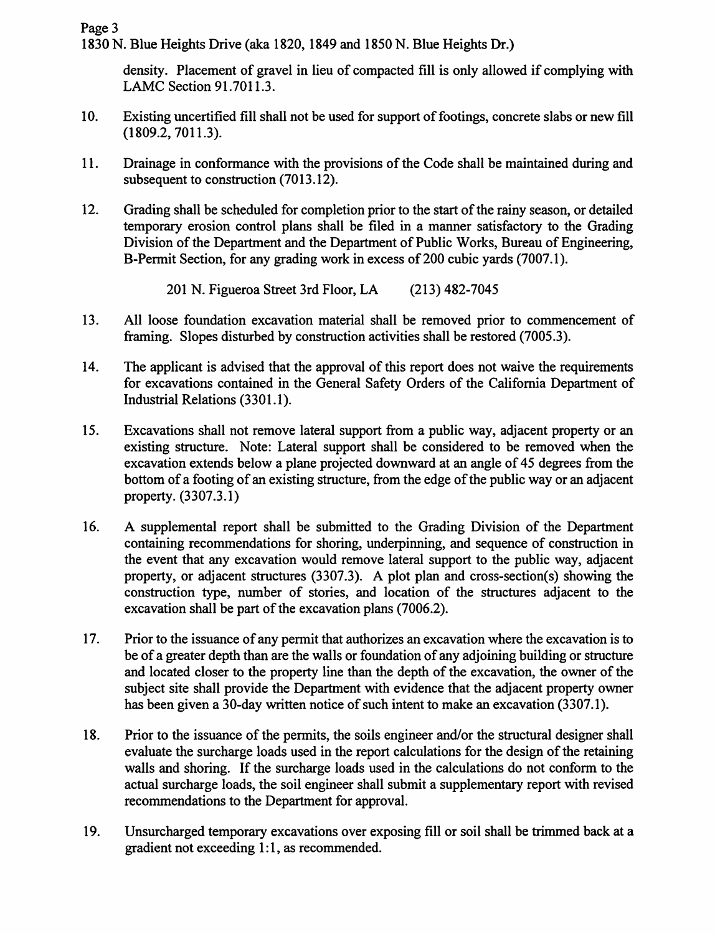1830 N. Blue Heights Drive (aka 1820, 1849 and 1850 N. Blue Heights Dr.)

density. Placement of gravel in lieu of compacted fill is only allowed if complying with LAMC Section 91.7011.3.

- 10. Existing uncertified fill shall not be used for support of footings, concrete slabs or new fill (1809.2, 7011.3).
- 11. Drainage in conformance with the provisions of the Code shall be maintained during and subsequent to construction (7013.12).
- 12. Grading shall be scheduled for completion prior to the start of the rainy season, or detailed temporary erosion control plans shall be filed in a manner satisfactory to the Grading Division of the Department and the Department of Public Works, Bureau of Engineering, B-Permit Section, for any grading work in excess of 200 cubic vards (7007.1).

201 N. Figueroa Street 3rd Floor, LA (213) 482-7045

- 13. All loose foundation excavation material shall be removed prior to commencement of framing. Slopes disturbed by construction activities shall be restored (7005.3).
- 14. The applicant is advised that the approval of this report does not waive the requirements for excavations contained in the General Safety Orders of the California Department of Industrial Relations (3301.1 ).
- 15. Excavations shall not remove lateral support from a public way, adjacent property or an existing structure. Note: Lateral support shall be considered to be removed when the excavation extends below a plane projected downward at an angle of 45 degrees from the bottom of a footing of an existing structure, from the edge of the public way or an adjacent property. (3307.3.1)
- 16. A supplemental report shall be submitted to the Grading Division of the Department containing recommendations for shoring, underpinning, and sequence of construction in the event that any excavation would remove lateral support to the public way, adjacent property, or adjacent structures (3307.3). A plot plan and cross-section(s) showing the construction type, number of stories, and location of the structures adjacent to the excavation shall be part of the excavation plans (7006.2).
- 17. Prior to the issuance of any permit that authorizes an excavation where the excavation is to be of a greater depth than are the walls or foundation of any adjoining building or structure and located closer to the property line than the depth of the excavation, the owner of the subject site shall provide the Department with evidence that the adjacent property owner has been given a 30-day written notice of such intent to make an excavation (3307.1).
- 18. Prior to the issuance of the permits, the soils engineer and/or the structural designer shall evaluate the surcharge loads used in the report calculations for the design of the retaining walls and shoring. If the surcharge loads used in the calculations do not conform to the actual surcharge loads, the soil engineer shall submit a supplementary report with revised recommendations to the Department for approval.
- 19. Unsurcharged temporary excavations over exposing fill or soil shall be trimmed back at a gradient not exceeding 1:1, as recommended.

Page 3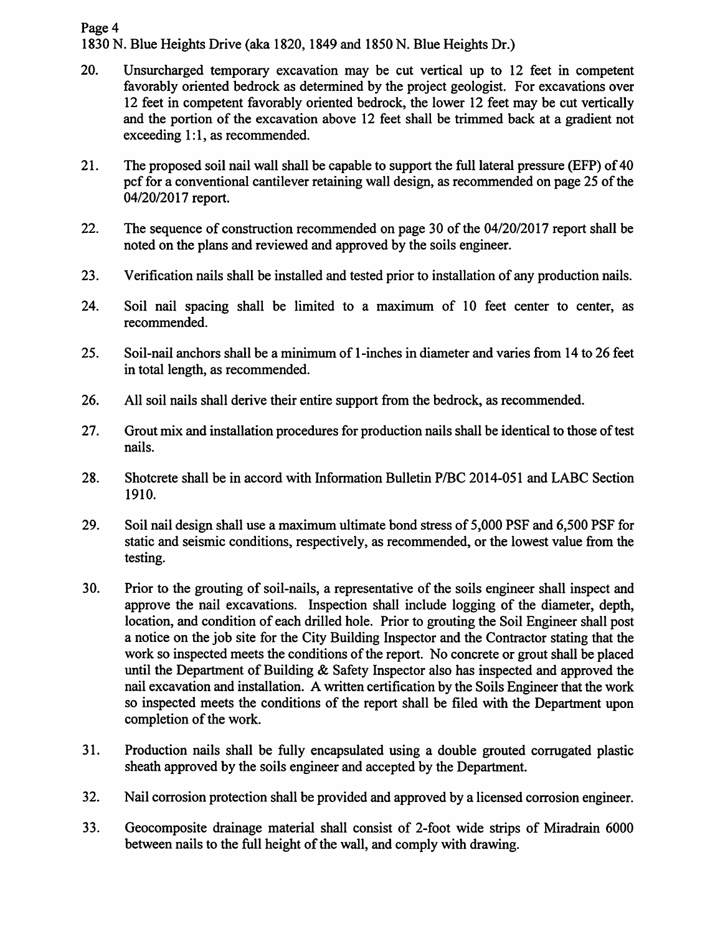## Page 4 1830 N. Blue Heights Drive (aka 1820, 1849 and 1850 N. Blue Heights Dr.)

- 20. Unsurcharged temporary excavation may be cut vertical up to 12 feet in competent favorably oriented bedrock as determined by the project geologist. For excavations over 12 feet in competent favorably oriented bedrock, the lower 12 feet may be cut vertically and the portion of the excavation above 12 feet shall be trimmed back at a gradient not exceeding  $1:1$ , as recommended.
- 21. The proposed soil nail wall shall be capable to support the full lateral pressure (EFP) of 40 pcf for a conventional cantilever retaining wall design, as recommended on page 25 of the 04/20/2017 report.
- 22. The sequence of construction recommended on page 30 of the 04/20/2017 report shall be noted on the plans and reviewed and approved by the soils engineer.
- 23. Verification nails shall be installed and tested prior to installation of any production nails.
- 24. Soil nail spacing shall be limited to a maximum of IO feet center to center, as recommended.
- 25. Soil-nail anchors shall be a minimum of I-inches in diameter and varies from 14 to 26 feet in total length, as recommended.
- 26. All soil nails shall derive their entire support from the bedrock, as recommended.
- 27. Grout mix and installation procedures for production nails shall be identical to those of test nails.
- 28. Shotcrete shall be in accord with Information Bulletin P/BC 2014-051 and LABC Section 1910.
- 29. Soil nail design shall use a maximum ultimate bond stress of 5,000 PSF and 6,500 PSF for static and seismic conditions, respectively, as recommended, or the lowest value from the testing.
- 30. Prior to the grouting of soil-nails, a representative of the soils engineer shall inspect and approve the nail excavations. Inspection shall include logging of the diameter, depth, location, and condition of each drilled hole. Prior to grouting the Soil Engineer shall post a notice on the job site for the City Building Inspector and the Contractor stating that the work so inspected meets the conditions of the report. No concrete or grout shall be placed until the Department of Building & Safety Inspector also has inspected and approved the nail excavation and installation. A written certification by the Soils Engineer that the work so inspected meets the conditions of the report shall be filed with the Department upon completion of the work.
- 31. Production nails shall be fully encapsulated using a double grouted corrugated plastic sheath approved by the soils engineer and accepted by the Department.
- 32. Nail corrosion protection shall be provided and approved by a licensed corrosion engineer.
- 33. Geocomposite drainage material shall consist of 2-foot wide strips of Miradrain 6000 between nails to the full height of the wall, and comply with drawing.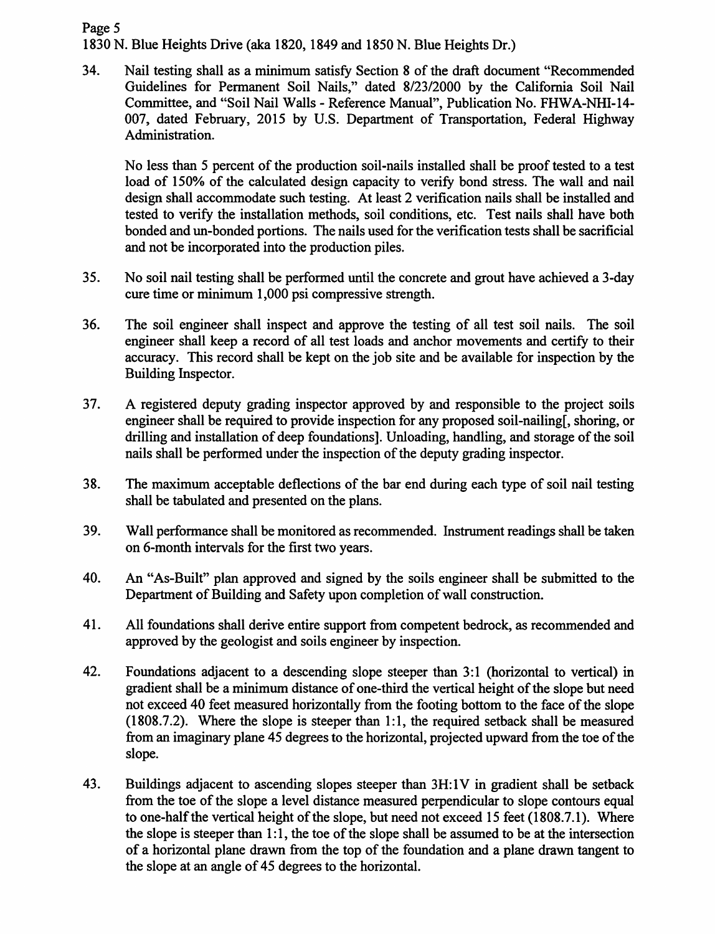## Page 5

1830 N. Blue Heights Drive (aka 1820, 1849 and 1850 N. Blue Heights Dr.)

34. Nail testing shall as a minimum satisfy Section 8 of the draft document "Recommended Guidelines for Permanent Soil Nails," dated 8/23/2000 by the California Soil Nail Committee, and "Soil Nail Walls - Reference Manual", Publication No. FHWA-NHI-14- 007, dated February, 2015 by U.S. Department of Transportation, Federal Highway Administration.

No less than *5* percent of the production soil-nails installed shall be proof tested to a test load of 150% of the calculated design capacity to verify bond stress. The wall and nail design shall accommodate such testing. At least 2 verification nails shall be installed and tested to verify the installation methods, soil conditions, etc. Test nails shall have both bonded and un-bonded portions. The nails used for the verification tests shall be sacrificial and not be incorporated into the production piles.

- 35. No soil nail testing shall be performed until the concrete and grout have achieved a 3-day cure time or minimum 1,000 psi compressive strength.
- 36. The soil engineer shall inspect and approve the testing of all test soil nails. The soil engineer shall keep a record of all test loads and anchor movements and certify to their accuracy. This record shall be kept on the job site and be available for inspection by the Building Inspector.
- 3 7. A registered deputy grading inspector approved by and responsible to the project soils engineer shall be required to provide inspection for any proposed soil-nailing[, shoring, or drilling and installation of deep foundations]. Unloading, handling, and storage of the soil nails shall be performed under the inspection of the deputy grading inspector.
- 38. The maximum acceptable deflections of the bar end during each type of soil nail testing shall be tabulated and presented on the plans.
- 39. Wall performance shall be monitored as recommended. Instrument readings shall be taken on 6-month intervals for the first two years.
- 40. An "As-Built" plan approved and signed by the soils engineer shall be submitted to the Department of Building and Safety upon completion of wall construction.
- 41. All foundations shall derive entire support from competent bedrock, as recommended and approved by the geologist and soils engineer by inspection.
- 42. Foundations adjacent to a descending slope steeper than 3:1 (horizontal to vertical) in gradient shall be a minimum distance of one-third the vertical height of the slope but need not exceed 40 feet measured horizontally from the footing bottom to the face of the slope (1808.7.2). Where the slope is steeper than 1:1, the required setback shall be measured from an imaginary plane 45 degrees to the horizontal, projected upward from the toe of the slope.
- 43. Buildings adjacent to ascending slopes steeper than 3H:1V in gradient shall be setback from the toe of the slope a level distance measured perpendicular to slope contours equal to one-half the vertical height of the slope, but need not exceed 15 feet (1808.7.1). Where the slope is steeper than  $1:1$ , the toe of the slope shall be assumed to be at the intersection of a horizontal plane drawn from the top of the foundation and a plane drawn tangent to the slope at an angle of 45 degrees to the horizontal.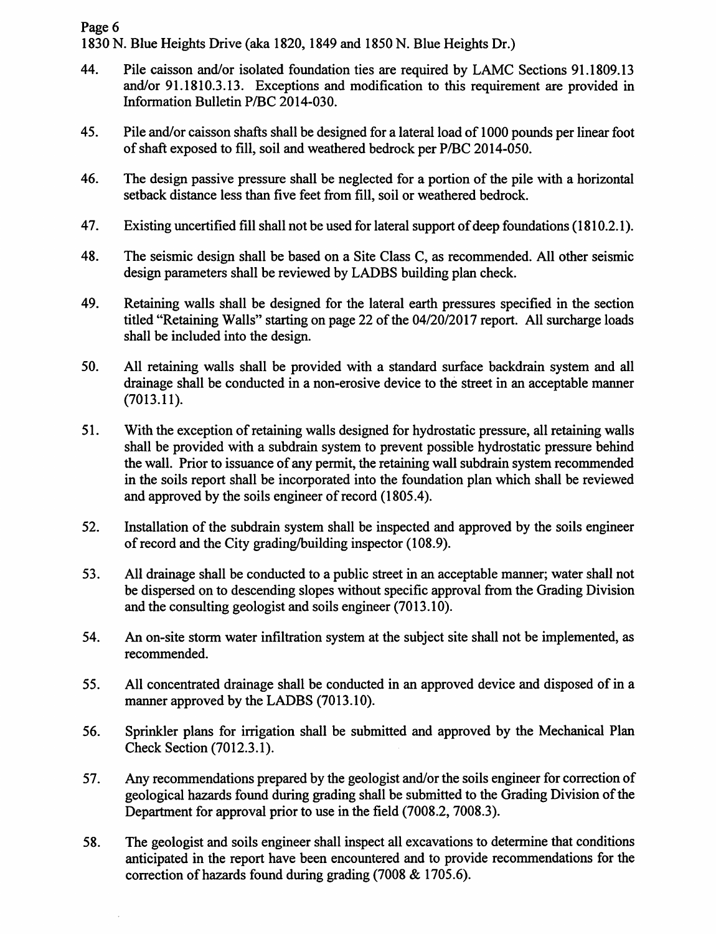Page 6 1830 N. Blue Heights Drive (aka 1820, 1849 and 1850 N. Blue Heights Dr.)

- 44. Pile caisson and/or isolated foundation ties are required by LAMC Sections 91.1809.13 and/or 91.1810.3 .13. Exceptions and modification to this requirement are provided in Information Bulletin P/BC 2014-030.
- 45. Pile and/or caisson shafts shall be designed for a lateral load of 1000 pounds per linear foot of shaft exposed to fill, soil and weathered bedrock per P/BC 2014-050.
- 46. The design passive pressure shall be neglected for a portion of the pile with a horizontal setback distance less than five feet from fill, soil or weathered bedrock.
- 47. Existing uncertified fill shall not be used for lateral support of deep foundations (1810.2.1).
- 48. The seismic design shall be based on a Site Class C, as recommended. All other seismic design parameters shall be reviewed by LADBS building plan check.
- 49. Retaining walls shall be designed for the lateral earth pressures specified in the section titled "Retaining Walls" starting on page 22 of the 04/20/2017 report. All surcharge loads shall be included into the design.
- 50. All retaining walls shall be provided with a standard surface backdrain system and all drainage shall be conducted in a non-erosive device to the street in an acceptable manner (7013.11).
- 51. With the exception of retaining walls designed for hydrostatic pressure, all retaining walls shall be provided with a subdrain system to prevent possible hydrostatic pressure behind the wall. Prior to issuance of any permit, the retaining wall subdrain system recommended in the soils report shall be incorporated into the foundation plan which shall be reviewed and approved by the soils engineer of record (1805.4).
- 52. Installation of the subdrain system shall be inspected and approved by the soils engineer of record and the City grading/building inspector (108.9).
- 53. All drainage shall be conducted to a public street in an acceptable manner; water shall not be dispersed on to descending slopes without specific approval from the Grading Division and the consulting geologist and soils engineer (7013.10).
- 54. An on-site storm water infiltration system at the subject site shall not be implemented, as recommended.
- 55. All concentrated drainage shall be conducted in an approved device and disposed of in a manner approved by the LADBS (7013.10).
- 56. Sprinkler plans for irrigation shall be submitted and approved by the Mechanical Plan Check Section (7012.3.1).
- 57. Any recommendations prepared by the geologist and/or the soils engineer for correction of geological hazards found during grading shall be submitted to the Grading Division of the Department for approval prior to use in the field (7008.2, 7008.3).
- 58. The geologist and soils engineer shall inspect all excavations to determine that conditions anticipated in the report have been encountered and to provide recommendations for the correction of hazards found during grading  $(7008 \& 1705.6)$ .